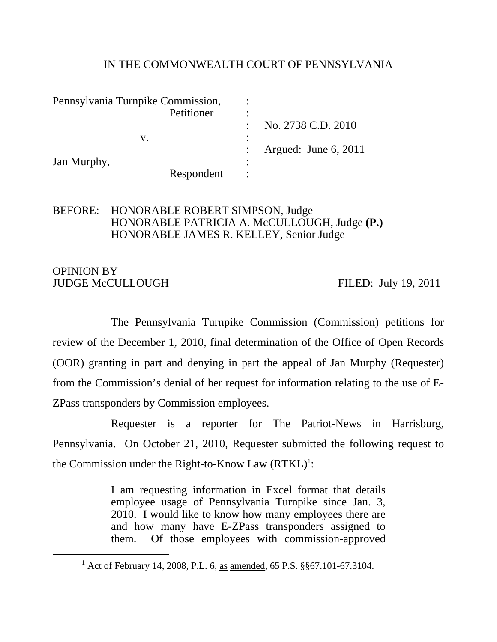### IN THE COMMONWEALTH COURT OF PENNSYLVANIA

| Pennsylvania Turnpike Commission, |            |                     |                        |
|-----------------------------------|------------|---------------------|------------------------|
|                                   | Petitioner |                     |                        |
|                                   |            |                     | No. 2738 C.D. 2010     |
|                                   | V.         | $\hat{\phantom{a}}$ |                        |
|                                   |            |                     | Argued: June $6, 2011$ |
| Jan Murphy,                       |            | $\bullet$           |                        |
|                                   | Respondent |                     |                        |

### BEFORE: HONORABLE ROBERT SIMPSON, Judge HONORABLE PATRICIA A. McCULLOUGH, Judge **(P.)**  HONORABLE JAMES R. KELLEY, Senior Judge

### OPINION BY JUDGE McCULLOUGH FILED: July 19, 2011

 The Pennsylvania Turnpike Commission (Commission) petitions for review of the December 1, 2010, final determination of the Office of Open Records (OOR) granting in part and denying in part the appeal of Jan Murphy (Requester) from the Commission's denial of her request for information relating to the use of E-ZPass transponders by Commission employees.

 Requester is a reporter for The Patriot-News in Harrisburg, Pennsylvania. On October 21, 2010, Requester submitted the following request to the Commission under the Right-to-Know Law  $(RTKL)^1$ :

> I am requesting information in Excel format that details employee usage of Pennsylvania Turnpike since Jan. 3, 2010. I would like to know how many employees there are and how many have E-ZPass transponders assigned to them. Of those employees with commission-approved

<sup>&</sup>lt;u>1</u> <sup>1</sup> Act of February 14, 2008, P.L. 6, as amended, 65 P.S. §§67.101-67.3104.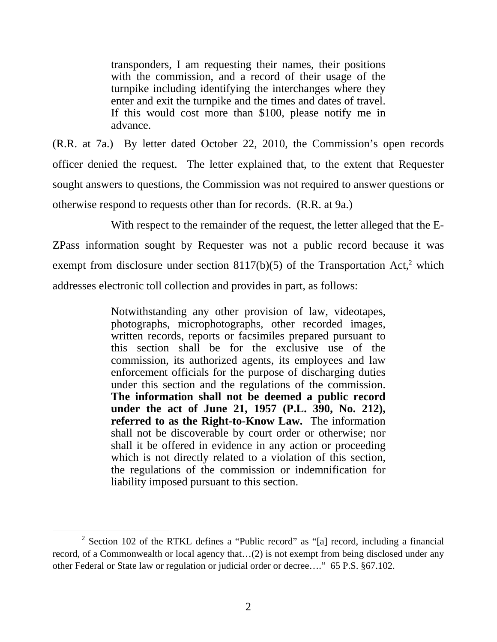transponders, I am requesting their names, their positions with the commission, and a record of their usage of the turnpike including identifying the interchanges where they enter and exit the turnpike and the times and dates of travel. If this would cost more than \$100, please notify me in advance.

(R.R. at 7a.) By letter dated October 22, 2010, the Commission's open records officer denied the request. The letter explained that, to the extent that Requester sought answers to questions, the Commission was not required to answer questions or otherwise respond to requests other than for records. (R.R. at 9a.)

 With respect to the remainder of the request, the letter alleged that the E-ZPass information sought by Requester was not a public record because it was exempt from disclosure under section  $8117(b)(5)$  of the Transportation Act,<sup>2</sup> which addresses electronic toll collection and provides in part, as follows:

> Notwithstanding any other provision of law, videotapes, photographs, microphotographs, other recorded images, written records, reports or facsimiles prepared pursuant to this section shall be for the exclusive use of the commission, its authorized agents, its employees and law enforcement officials for the purpose of discharging duties under this section and the regulations of the commission. **The information shall not be deemed a public record under the act of June 21, 1957 (P.L. 390, No. 212), referred to as the Right-to-Know Law.** The information shall not be discoverable by court order or otherwise; nor shall it be offered in evidence in any action or proceeding which is not directly related to a violation of this section, the regulations of the commission or indemnification for liability imposed pursuant to this section.

 $\overline{\phantom{a}2}$  $2$  Section 102 of the RTKL defines a "Public record" as "[a] record, including a financial record, of a Commonwealth or local agency that…(2) is not exempt from being disclosed under any other Federal or State law or regulation or judicial order or decree…." 65 P.S. §67.102.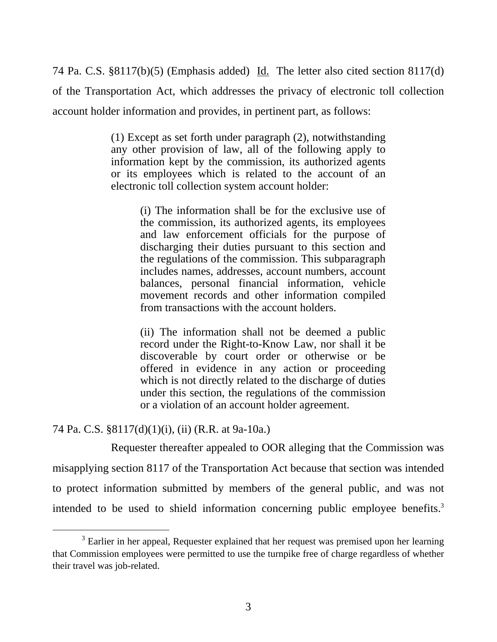74 Pa. C.S. §8117(b)(5) (Emphasis added) Id. The letter also cited section 8117(d) of the Transportation Act, which addresses the privacy of electronic toll collection account holder information and provides, in pertinent part, as follows:

> (1) Except as set forth under paragraph (2), notwithstanding any other provision of law, all of the following apply to information kept by the commission, its authorized agents or its employees which is related to the account of an electronic toll collection system account holder:

> > (i) The information shall be for the exclusive use of the commission, its authorized agents, its employees and law enforcement officials for the purpose of discharging their duties pursuant to this section and the regulations of the commission. This subparagraph includes names, addresses, account numbers, account balances, personal financial information, vehicle movement records and other information compiled from transactions with the account holders.

> > (ii) The information shall not be deemed a public record under the Right-to-Know Law, nor shall it be discoverable by court order or otherwise or be offered in evidence in any action or proceeding which is not directly related to the discharge of duties under this section, the regulations of the commission or a violation of an account holder agreement.

# 74 Pa. C.S. §8117(d)(1)(i), (ii) (R.R. at 9a-10a.)

 Requester thereafter appealed to OOR alleging that the Commission was misapplying section 8117 of the Transportation Act because that section was intended to protect information submitted by members of the general public, and was not intended to be used to shield information concerning public employee benefits.<sup>3</sup>

 $\frac{1}{3}$ <sup>3</sup> Earlier in her appeal, Requester explained that her request was premised upon her learning that Commission employees were permitted to use the turnpike free of charge regardless of whether their travel was job-related.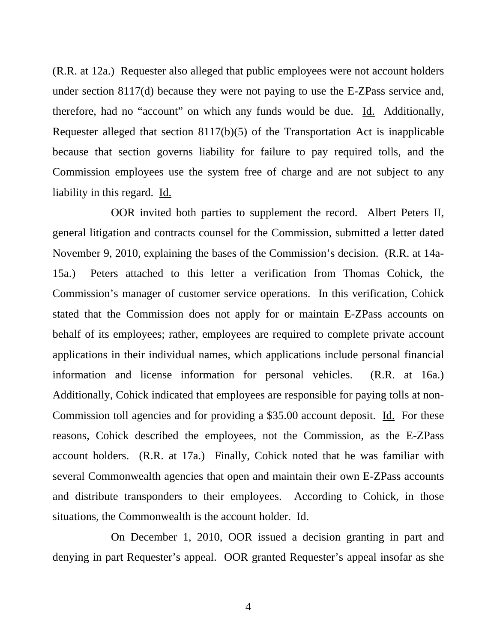(R.R. at 12a.) Requester also alleged that public employees were not account holders under section 8117(d) because they were not paying to use the E-ZPass service and, therefore, had no "account" on which any funds would be due. Id. Additionally, Requester alleged that section 8117(b)(5) of the Transportation Act is inapplicable because that section governs liability for failure to pay required tolls, and the Commission employees use the system free of charge and are not subject to any liability in this regard. Id.

 OOR invited both parties to supplement the record. Albert Peters II, general litigation and contracts counsel for the Commission, submitted a letter dated November 9, 2010, explaining the bases of the Commission's decision. (R.R. at 14a-15a.) Peters attached to this letter a verification from Thomas Cohick, the Commission's manager of customer service operations. In this verification, Cohick stated that the Commission does not apply for or maintain E-ZPass accounts on behalf of its employees; rather, employees are required to complete private account applications in their individual names, which applications include personal financial information and license information for personal vehicles. (R.R. at 16a.) Additionally, Cohick indicated that employees are responsible for paying tolls at non-Commission toll agencies and for providing a \$35.00 account deposit. Id. For these reasons, Cohick described the employees, not the Commission, as the E-ZPass account holders. (R.R. at 17a.) Finally, Cohick noted that he was familiar with several Commonwealth agencies that open and maintain their own E-ZPass accounts and distribute transponders to their employees. According to Cohick, in those situations, the Commonwealth is the account holder. Id.

 On December 1, 2010, OOR issued a decision granting in part and denying in part Requester's appeal. OOR granted Requester's appeal insofar as she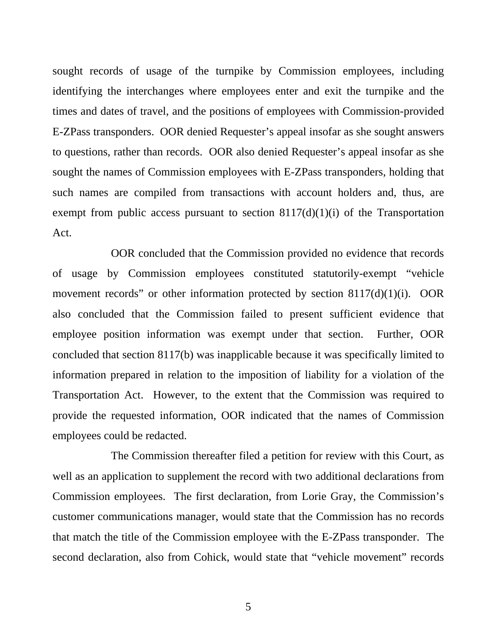sought records of usage of the turnpike by Commission employees, including identifying the interchanges where employees enter and exit the turnpike and the times and dates of travel, and the positions of employees with Commission-provided E-ZPass transponders. OOR denied Requester's appeal insofar as she sought answers to questions, rather than records. OOR also denied Requester's appeal insofar as she sought the names of Commission employees with E-ZPass transponders, holding that such names are compiled from transactions with account holders and, thus, are exempt from public access pursuant to section  $8117(d)(1)(i)$  of the Transportation Act.

 OOR concluded that the Commission provided no evidence that records of usage by Commission employees constituted statutorily-exempt "vehicle movement records" or other information protected by section 8117(d)(1)(i). OOR also concluded that the Commission failed to present sufficient evidence that employee position information was exempt under that section. Further, OOR concluded that section 8117(b) was inapplicable because it was specifically limited to information prepared in relation to the imposition of liability for a violation of the Transportation Act. However, to the extent that the Commission was required to provide the requested information, OOR indicated that the names of Commission employees could be redacted.

 The Commission thereafter filed a petition for review with this Court, as well as an application to supplement the record with two additional declarations from Commission employees. The first declaration, from Lorie Gray, the Commission's customer communications manager, would state that the Commission has no records that match the title of the Commission employee with the E-ZPass transponder. The second declaration, also from Cohick, would state that "vehicle movement" records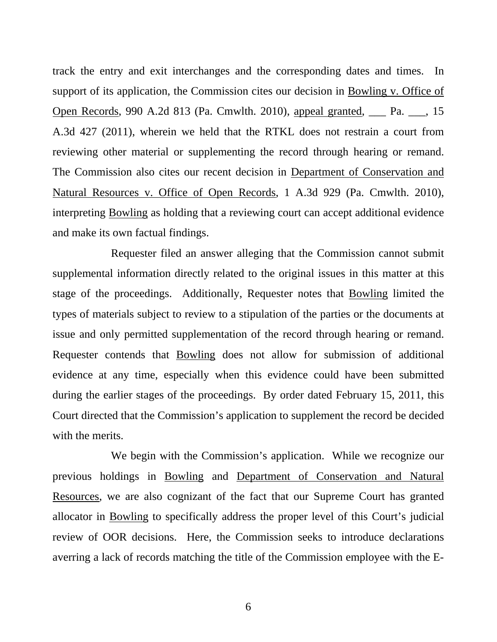track the entry and exit interchanges and the corresponding dates and times. In support of its application, the Commission cites our decision in Bowling v. Office of Open Records, 990 A.2d 813 (Pa. Cmwlth. 2010), appeal granted, \_\_\_ Pa. \_\_\_, 15 A.3d 427 (2011), wherein we held that the RTKL does not restrain a court from reviewing other material or supplementing the record through hearing or remand. The Commission also cites our recent decision in Department of Conservation and Natural Resources v. Office of Open Records, 1 A.3d 929 (Pa. Cmwlth. 2010), interpreting Bowling as holding that a reviewing court can accept additional evidence and make its own factual findings.

 Requester filed an answer alleging that the Commission cannot submit supplemental information directly related to the original issues in this matter at this stage of the proceedings. Additionally, Requester notes that Bowling limited the types of materials subject to review to a stipulation of the parties or the documents at issue and only permitted supplementation of the record through hearing or remand. Requester contends that Bowling does not allow for submission of additional evidence at any time, especially when this evidence could have been submitted during the earlier stages of the proceedings. By order dated February 15, 2011, this Court directed that the Commission's application to supplement the record be decided with the merits.

 We begin with the Commission's application. While we recognize our previous holdings in Bowling and Department of Conservation and Natural Resources, we are also cognizant of the fact that our Supreme Court has granted allocator in Bowling to specifically address the proper level of this Court's judicial review of OOR decisions. Here, the Commission seeks to introduce declarations averring a lack of records matching the title of the Commission employee with the E-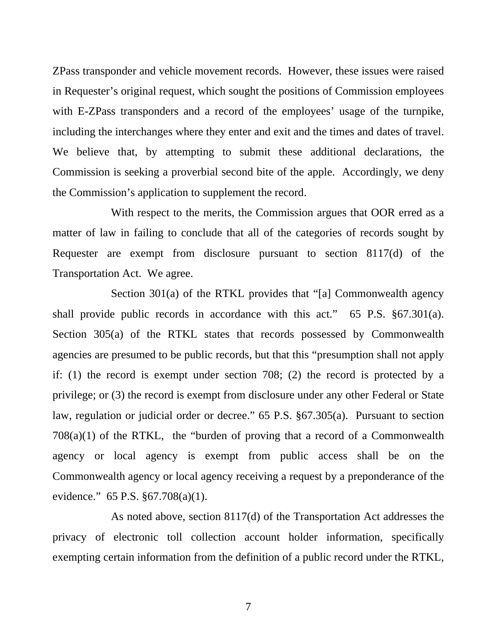ZPass transponder and vehicle movement records. However, these issues were raised in Requester's original request, which sought the positions of Commission employees with E-ZPass transponders and a record of the employees' usage of the turnpike, including the interchanges where they enter and exit and the times and dates of travel. We believe that, by attempting to submit these additional declarations, the Commission is seeking a proverbial second bite of the apple. Accordingly, we deny the Commission's application to supplement the record.

 With respect to the merits, the Commission argues that OOR erred as a matter of law in failing to conclude that all of the categories of records sought by Requester are exempt from disclosure pursuant to section 8117(d) of the Transportation Act. We agree.

 Section 301(a) of the RTKL provides that "[a] Commonwealth agency shall provide public records in accordance with this act." 65 P.S. §67.301(a). Section 305(a) of the RTKL states that records possessed by Commonwealth agencies are presumed to be public records, but that this "presumption shall not apply if: (1) the record is exempt under section 708; (2) the record is protected by a privilege; or (3) the record is exempt from disclosure under any other Federal or State law, regulation or judicial order or decree." 65 P.S. §67.305(a). Pursuant to section 708(a)(1) of the RTKL, the "burden of proving that a record of a Commonwealth agency or local agency is exempt from public access shall be on the Commonwealth agency or local agency receiving a request by a preponderance of the evidence." 65 P.S. §67.708(a)(1).

 As noted above, section 8117(d) of the Transportation Act addresses the privacy of electronic toll collection account holder information, specifically exempting certain information from the definition of a public record under the RTKL,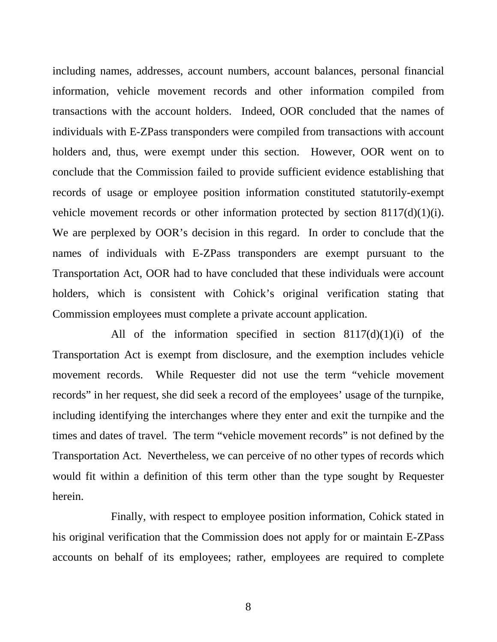including names, addresses, account numbers, account balances, personal financial information, vehicle movement records and other information compiled from transactions with the account holders. Indeed, OOR concluded that the names of individuals with E-ZPass transponders were compiled from transactions with account holders and, thus, were exempt under this section. However, OOR went on to conclude that the Commission failed to provide sufficient evidence establishing that records of usage or employee position information constituted statutorily-exempt vehicle movement records or other information protected by section  $8117\frac{d}{d}(1)(i)$ . We are perplexed by OOR's decision in this regard. In order to conclude that the names of individuals with E-ZPass transponders are exempt pursuant to the Transportation Act, OOR had to have concluded that these individuals were account holders, which is consistent with Cohick's original verification stating that Commission employees must complete a private account application.

All of the information specified in section  $8117(d)(1)(i)$  of the Transportation Act is exempt from disclosure, and the exemption includes vehicle movement records. While Requester did not use the term "vehicle movement records" in her request, she did seek a record of the employees' usage of the turnpike, including identifying the interchanges where they enter and exit the turnpike and the times and dates of travel. The term "vehicle movement records" is not defined by the Transportation Act. Nevertheless, we can perceive of no other types of records which would fit within a definition of this term other than the type sought by Requester herein.

 Finally, with respect to employee position information, Cohick stated in his original verification that the Commission does not apply for or maintain E-ZPass accounts on behalf of its employees; rather, employees are required to complete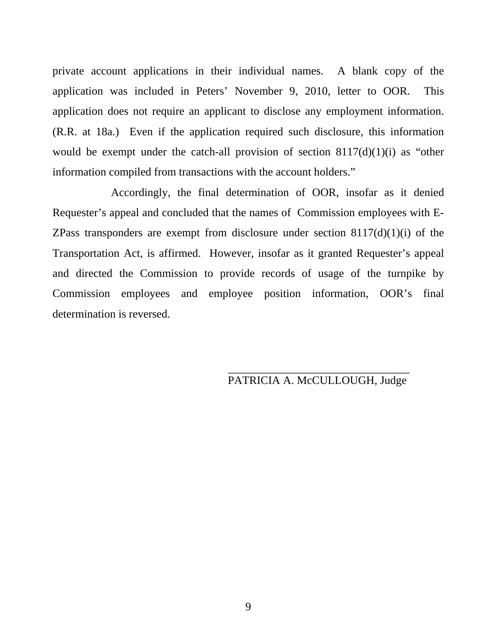private account applications in their individual names. A blank copy of the application was included in Peters' November 9, 2010, letter to OOR. This application does not require an applicant to disclose any employment information. (R.R. at 18a.) Even if the application required such disclosure, this information would be exempt under the catch-all provision of section  $8117(d)(1)(i)$  as "other information compiled from transactions with the account holders."

 Accordingly, the final determination of OOR, insofar as it denied Requester's appeal and concluded that the names of Commission employees with E-ZPass transponders are exempt from disclosure under section  $8117(d)(1)(i)$  of the Transportation Act, is affirmed. However, insofar as it granted Requester's appeal and directed the Commission to provide records of usage of the turnpike by Commission employees and employee position information, OOR's final determination is reversed.

 $\frac{1}{\sqrt{2\pi}}$  ,  $\frac{1}{\sqrt{2\pi}}$  ,  $\frac{1}{\sqrt{2\pi}}$  ,  $\frac{1}{\sqrt{2\pi}}$  ,  $\frac{1}{\sqrt{2\pi}}$  ,  $\frac{1}{\sqrt{2\pi}}$  ,  $\frac{1}{\sqrt{2\pi}}$  ,  $\frac{1}{\sqrt{2\pi}}$  ,  $\frac{1}{\sqrt{2\pi}}$  ,  $\frac{1}{\sqrt{2\pi}}$  ,  $\frac{1}{\sqrt{2\pi}}$  ,  $\frac{1}{\sqrt{2\pi}}$  ,  $\frac{1}{\sqrt{2\pi}}$  ,

# PATRICIA A. McCULLOUGH, Judge